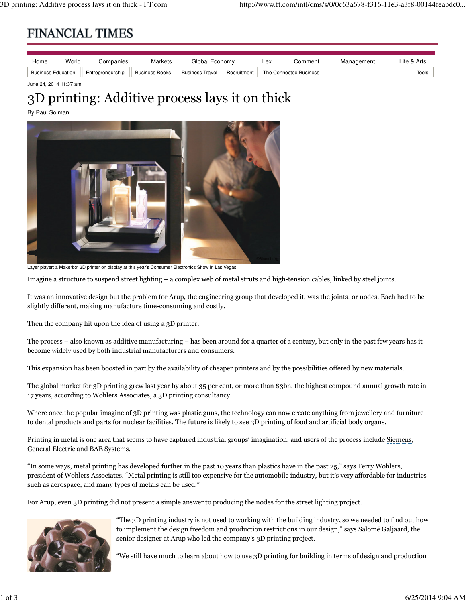## **FINANCIAL TIMES**

| Home | World | Companies | Markets | Global Economy |  | Lex                                                                                                   | Comment | Management | Life & Arts |
|------|-------|-----------|---------|----------------|--|-------------------------------------------------------------------------------------------------------|---------|------------|-------------|
|      |       |           |         |                |  | Business Education Entrepreneurship Business Books Business Travel Recruitment The Connected Business |         |            | Tools       |
| .    |       |           |         |                |  |                                                                                                       |         |            |             |

## June 24, 2014 11:37 am

## 3D printing: Additive process lays it on thick

By Paul Solman



Layer player: a Makerbot 3D printer on display at this year's Consumer Electronics Show in Las Vegas

Imagine a structure to suspend street lighting – a complex web of metal struts and high-tension cables, linked by steel joints.

It was an innovative design but the problem for Arup, the engineering group that developed it, was the joints, or nodes. Each had to be slightly different, making manufacture time-consuming and costly.

Then the company hit upon the idea of using a 3D printer.

The process – also known as additive manufacturing – has been around for a quarter of a century, but only in the past few years has it become widely used by both industrial manufacturers and consumers.

This expansion has been boosted in part by the availability of cheaper printers and by the possibilities offered by new materials.

The global market for 3D printing grew last year by about 35 per cent, or more than \$3bn, the highest compound annual growth rate in 17 years, according to Wohlers Associates, a 3D printing consultancy.

Where once the popular imagine of 3D printing was plastic guns, the technology can now create anything from jewellery and furniture to dental products and parts for nuclear facilities. The future is likely to see 3D printing of food and artificial body organs.

Printing in metal is one area that seems to have captured industrial groups' imagination, and users of the process include Siemens, General Electric and BAE Systems.

"In some ways, metal printing has developed further in the past 10 years than plastics have in the past 25," says Terry Wohlers, president of Wohlers Associates. "Metal printing is still too expensive for the automobile industry, but it's very affordable for industries such as aerospace, and many types of metals can be used."

For Arup, even 3D printing did not present a simple answer to producing the nodes for the street lighting project.



"The 3D printing industry is not used to working with the building industry, so we needed to find out how to implement the design freedom and production restrictions in our design," says Salomé Galjaard, the senior designer at Arup who led the company's 3D printing project.

"We still have much to learn about how to use 3D printing for building in terms of design and production